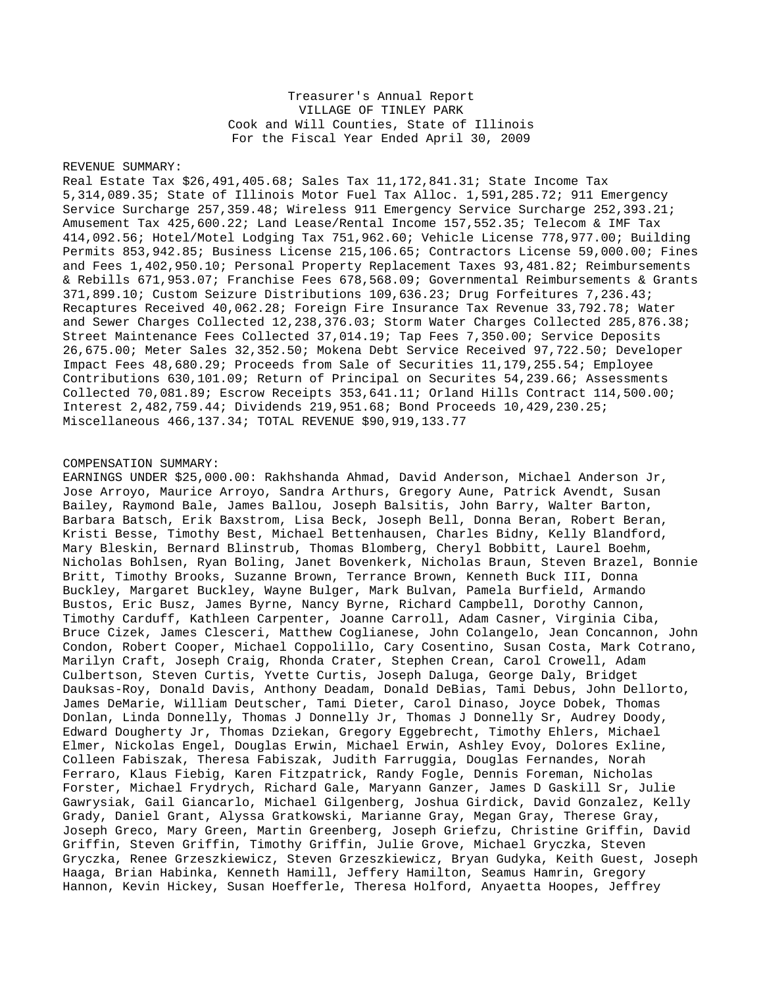# Treasurer's Annual Report VILLAGE OF TINLEY PARK Cook and Will Counties, State of Illinois For the Fiscal Year Ended April 30, 2009

### REVENUE SUMMARY:

Real Estate Tax \$26,491,405.68; Sales Tax 11,172,841.31; State Income Tax 5,314,089.35; State of Illinois Motor Fuel Tax Alloc. 1,591,285.72; 911 Emergency Service Surcharge 257,359.48; Wireless 911 Emergency Service Surcharge 252,393.21; Amusement Tax 425,600.22; Land Lease/Rental Income 157,552.35; Telecom & IMF Tax 414,092.56; Hotel/Motel Lodging Tax 751,962.60; Vehicle License 778,977.00; Building Permits 853,942.85; Business License 215,106.65; Contractors License 59,000.00; Fines and Fees 1,402,950.10; Personal Property Replacement Taxes 93,481.82; Reimbursements & Rebills 671,953.07; Franchise Fees 678,568.09; Governmental Reimbursements & Grants 371,899.10; Custom Seizure Distributions 109,636.23; Drug Forfeitures 7,236.43; Recaptures Received 40,062.28; Foreign Fire Insurance Tax Revenue 33,792.78; Water and Sewer Charges Collected 12,238,376.03; Storm Water Charges Collected 285,876.38; Street Maintenance Fees Collected 37,014.19; Tap Fees 7,350.00; Service Deposits 26,675.00; Meter Sales 32,352.50; Mokena Debt Service Received 97,722.50; Developer Impact Fees 48,680.29; Proceeds from Sale of Securities 11,179,255.54; Employee Contributions 630,101.09; Return of Principal on Securites 54,239.66; Assessments Collected 70,081.89; Escrow Receipts 353,641.11; Orland Hills Contract 114,500.00; Interest 2,482,759.44; Dividends 219,951.68; Bond Proceeds 10,429,230.25; Miscellaneous 466,137.34; TOTAL REVENUE \$90,919,133.77

#### COMPENSATION SUMMARY:

EARNINGS UNDER \$25,000.00: Rakhshanda Ahmad, David Anderson, Michael Anderson Jr, Jose Arroyo, Maurice Arroyo, Sandra Arthurs, Gregory Aune, Patrick Avendt, Susan Bailey, Raymond Bale, James Ballou, Joseph Balsitis, John Barry, Walter Barton, Barbara Batsch, Erik Baxstrom, Lisa Beck, Joseph Bell, Donna Beran, Robert Beran, Kristi Besse, Timothy Best, Michael Bettenhausen, Charles Bidny, Kelly Blandford, Mary Bleskin, Bernard Blinstrub, Thomas Blomberg, Cheryl Bobbitt, Laurel Boehm, Nicholas Bohlsen, Ryan Boling, Janet Bovenkerk, Nicholas Braun, Steven Brazel, Bonnie Britt, Timothy Brooks, Suzanne Brown, Terrance Brown, Kenneth Buck III, Donna Buckley, Margaret Buckley, Wayne Bulger, Mark Bulvan, Pamela Burfield, Armando Bustos, Eric Busz, James Byrne, Nancy Byrne, Richard Campbell, Dorothy Cannon, Timothy Carduff, Kathleen Carpenter, Joanne Carroll, Adam Casner, Virginia Ciba, Bruce Cizek, James Clesceri, Matthew Coglianese, John Colangelo, Jean Concannon, John Condon, Robert Cooper, Michael Coppolillo, Cary Cosentino, Susan Costa, Mark Cotrano, Marilyn Craft, Joseph Craig, Rhonda Crater, Stephen Crean, Carol Crowell, Adam Culbertson, Steven Curtis, Yvette Curtis, Joseph Daluga, George Daly, Bridget Dauksas-Roy, Donald Davis, Anthony Deadam, Donald DeBias, Tami Debus, John Dellorto, James DeMarie, William Deutscher, Tami Dieter, Carol Dinaso, Joyce Dobek, Thomas Donlan, Linda Donnelly, Thomas J Donnelly Jr, Thomas J Donnelly Sr, Audrey Doody, Edward Dougherty Jr, Thomas Dziekan, Gregory Eggebrecht, Timothy Ehlers, Michael Elmer, Nickolas Engel, Douglas Erwin, Michael Erwin, Ashley Evoy, Dolores Exline, Colleen Fabiszak, Theresa Fabiszak, Judith Farruggia, Douglas Fernandes, Norah Ferraro, Klaus Fiebig, Karen Fitzpatrick, Randy Fogle, Dennis Foreman, Nicholas Forster, Michael Frydrych, Richard Gale, Maryann Ganzer, James D Gaskill Sr, Julie Gawrysiak, Gail Giancarlo, Michael Gilgenberg, Joshua Girdick, David Gonzalez, Kelly Grady, Daniel Grant, Alyssa Gratkowski, Marianne Gray, Megan Gray, Therese Gray, Joseph Greco, Mary Green, Martin Greenberg, Joseph Griefzu, Christine Griffin, David Griffin, Steven Griffin, Timothy Griffin, Julie Grove, Michael Gryczka, Steven Gryczka, Renee Grzeszkiewicz, Steven Grzeszkiewicz, Bryan Gudyka, Keith Guest, Joseph Haaga, Brian Habinka, Kenneth Hamill, Jeffery Hamilton, Seamus Hamrin, Gregory Hannon, Kevin Hickey, Susan Hoefferle, Theresa Holford, Anyaetta Hoopes, Jeffrey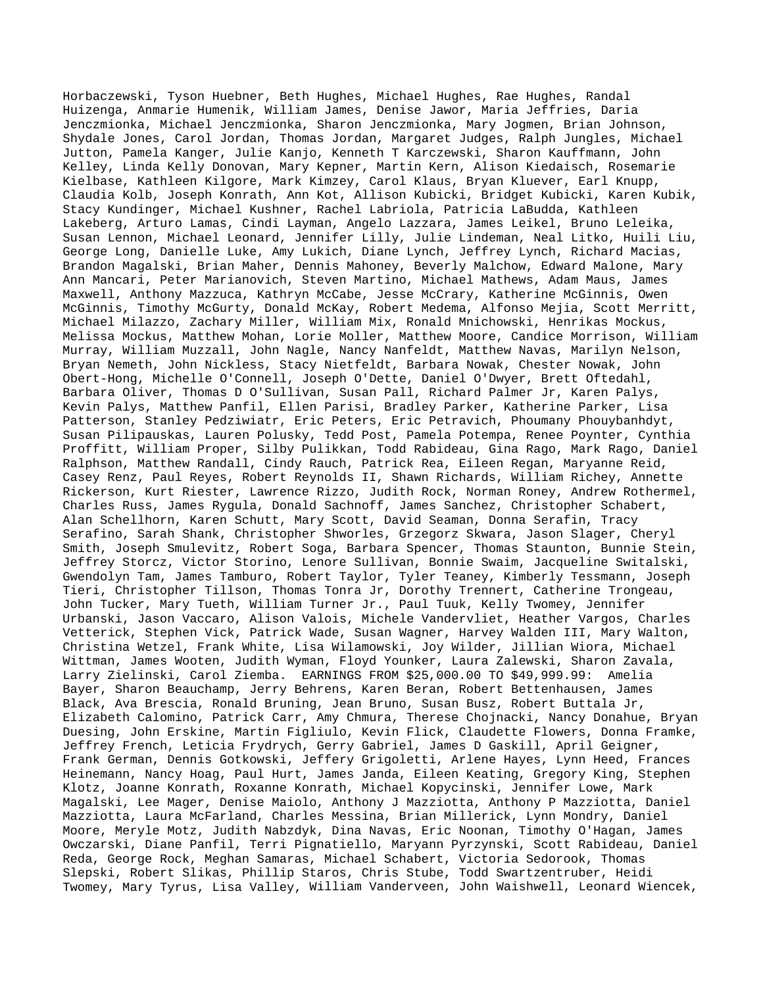Horbaczewski, Tyson Huebner, Beth Hughes, Michael Hughes, Rae Hughes, Randal Huizenga, Anmarie Humenik, William James, Denise Jawor, Maria Jeffries, Daria Jenczmionka, Michael Jenczmionka, Sharon Jenczmionka, Mary Jogmen, Brian Johnson, Shydale Jones, Carol Jordan, Thomas Jordan, Margaret Judges, Ralph Jungles, Michael Jutton, Pamela Kanger, Julie Kanjo, Kenneth T Karczewski, Sharon Kauffmann, John Kelley, Linda Kelly Donovan, Mary Kepner, Martin Kern, Alison Kiedaisch, Rosemarie Kielbase, Kathleen Kilgore, Mark Kimzey, Carol Klaus, Bryan Kluever, Earl Knupp, Claudia Kolb, Joseph Konrath, Ann Kot, Allison Kubicki, Bridget Kubicki, Karen Kubik, Stacy Kundinger, Michael Kushner, Rachel Labriola, Patricia LaBudda, Kathleen Lakeberg, Arturo Lamas, Cindi Layman, Angelo Lazzara, James Leikel, Bruno Leleika, Susan Lennon, Michael Leonard, Jennifer Lilly, Julie Lindeman, Neal Litko, Huili Liu, George Long, Danielle Luke, Amy Lukich, Diane Lynch, Jeffrey Lynch, Richard Macias, Brandon Magalski, Brian Maher, Dennis Mahoney, Beverly Malchow, Edward Malone, Mary Ann Mancari, Peter Marianovich, Steven Martino, Michael Mathews, Adam Maus, James Maxwell, Anthony Mazzuca, Kathryn McCabe, Jesse McCrary, Katherine McGinnis, Owen McGinnis, Timothy McGurty, Donald McKay, Robert Medema, Alfonso Mejia, Scott Merritt, Michael Milazzo, Zachary Miller, William Mix, Ronald Mnichowski, Henrikas Mockus, Melissa Mockus, Matthew Mohan, Lorie Moller, Matthew Moore, Candice Morrison, William Murray, William Muzzall, John Nagle, Nancy Nanfeldt, Matthew Navas, Marilyn Nelson, Bryan Nemeth, John Nickless, Stacy Nietfeldt, Barbara Nowak, Chester Nowak, John Obert-Hong, Michelle O'Connell, Joseph O'Dette, Daniel O'Dwyer, Brett Oftedahl, Barbara Oliver, Thomas D O'Sullivan, Susan Pall, Richard Palmer Jr, Karen Palys, Kevin Palys, Matthew Panfil, Ellen Parisi, Bradley Parker, Katherine Parker, Lisa Patterson, Stanley Pedziwiatr, Eric Peters, Eric Petravich, Phoumany Phouybanhdyt, Susan Pilipauskas, Lauren Polusky, Tedd Post, Pamela Potempa, Renee Poynter, Cynthia Proffitt, William Proper, Silby Pulikkan, Todd Rabideau, Gina Rago, Mark Rago, Daniel Ralphson, Matthew Randall, Cindy Rauch, Patrick Rea, Eileen Regan, Maryanne Reid, Casey Renz, Paul Reyes, Robert Reynolds II, Shawn Richards, William Richey, Annette Rickerson, Kurt Riester, Lawrence Rizzo, Judith Rock, Norman Roney, Andrew Rothermel, Charles Russ, James Rygula, Donald Sachnoff, James Sanchez, Christopher Schabert, Alan Schellhorn, Karen Schutt, Mary Scott, David Seaman, Donna Serafin, Tracy Serafino, Sarah Shank, Christopher Shworles, Grzegorz Skwara, Jason Slager, Cheryl Smith, Joseph Smulevitz, Robert Soga, Barbara Spencer, Thomas Staunton, Bunnie Stein, Jeffrey Storcz, Victor Storino, Lenore Sullivan, Bonnie Swaim, Jacqueline Switalski, Gwendolyn Tam, James Tamburo, Robert Taylor, Tyler Teaney, Kimberly Tessmann, Joseph Tieri, Christopher Tillson, Thomas Tonra Jr, Dorothy Trennert, Catherine Trongeau, John Tucker, Mary Tueth, William Turner Jr., Paul Tuuk, Kelly Twomey, Jennifer Urbanski, Jason Vaccaro, Alison Valois, Michele Vandervliet, Heather Vargos, Charles Vetterick, Stephen Vick, Patrick Wade, Susan Wagner, Harvey Walden III, Mary Walton, Christina Wetzel, Frank White, Lisa Wilamowski, Joy Wilder, Jillian Wiora, Michael Wittman, James Wooten, Judith Wyman, Floyd Younker, Laura Zalewski, Sharon Zavala, Larry Zielinski, Carol Ziemba. EARNINGS FROM \$25,000.00 TO \$49,999.99: Amelia Bayer, Sharon Beauchamp, Jerry Behrens, Karen Beran, Robert Bettenhausen, James Black, Ava Brescia, Ronald Bruning, Jean Bruno, Susan Busz, Robert Buttala Jr, Elizabeth Calomino, Patrick Carr, Amy Chmura, Therese Chojnacki, Nancy Donahue, Bryan Duesing, John Erskine, Martin Figliulo, Kevin Flick, Claudette Flowers, Donna Framke, Jeffrey French, Leticia Frydrych, Gerry Gabriel, James D Gaskill, April Geigner, Frank German, Dennis Gotkowski, Jeffery Grigoletti, Arlene Hayes, Lynn Heed, Frances Heinemann, Nancy Hoag, Paul Hurt, James Janda, Eileen Keating, Gregory King, Stephen Klotz, Joanne Konrath, Roxanne Konrath, Michael Kopycinski, Jennifer Lowe, Mark Magalski, Lee Mager, Denise Maiolo, Anthony J Mazziotta, Anthony P Mazziotta, Daniel Mazziotta, Laura McFarland, Charles Messina, Brian Millerick, Lynn Mondry, Daniel Moore, Meryle Motz, Judith Nabzdyk, Dina Navas, Eric Noonan, Timothy O'Hagan, James Owczarski, Diane Panfil, Terri Pignatiello, Maryann Pyrzynski, Scott Rabideau, Daniel Reda, George Rock, Meghan Samaras, Michael Schabert, Victoria Sedorook, Thomas Slepski, Robert Slikas, Phillip Staros, Chris Stube, Todd Swartzentruber, Heidi Twomey, Mary Tyrus, Lisa Valley, William Vanderveen, John Waishwell, Leonard Wiencek,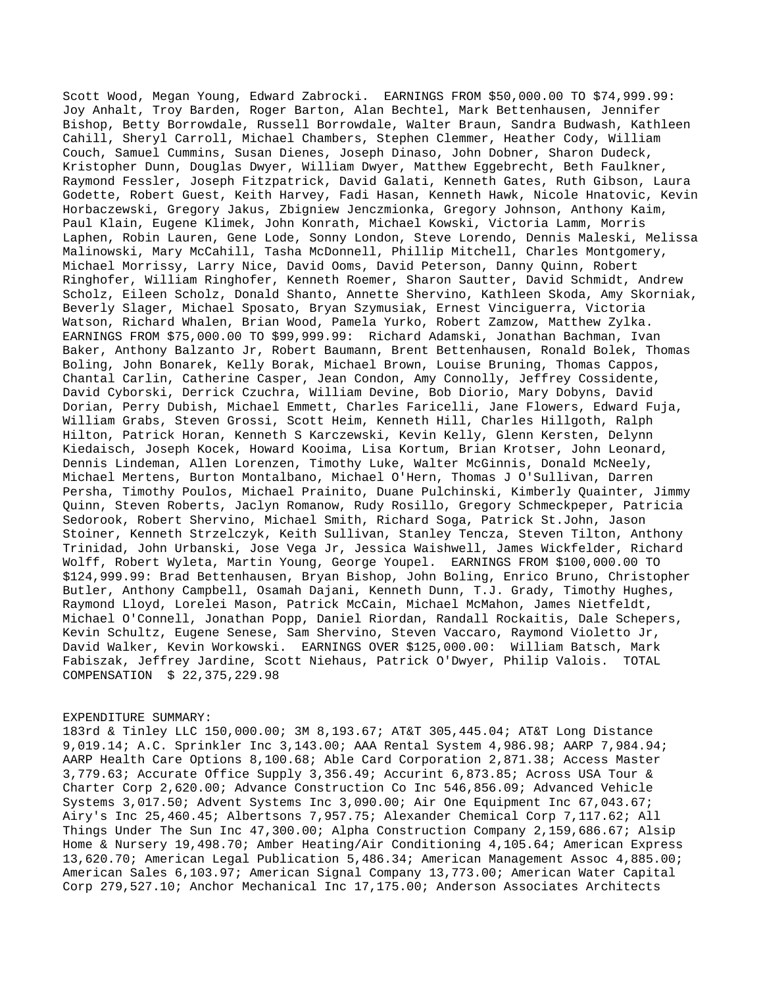Scott Wood, Megan Young, Edward Zabrocki. EARNINGS FROM \$50,000.00 TO \$74,999.99: Joy Anhalt, Troy Barden, Roger Barton, Alan Bechtel, Mark Bettenhausen, Jennifer Bishop, Betty Borrowdale, Russell Borrowdale, Walter Braun, Sandra Budwash, Kathleen Cahill, Sheryl Carroll, Michael Chambers, Stephen Clemmer, Heather Cody, William Couch, Samuel Cummins, Susan Dienes, Joseph Dinaso, John Dobner, Sharon Dudeck, Kristopher Dunn, Douglas Dwyer, William Dwyer, Matthew Eggebrecht, Beth Faulkner, Raymond Fessler, Joseph Fitzpatrick, David Galati, Kenneth Gates, Ruth Gibson, Laura Godette, Robert Guest, Keith Harvey, Fadi Hasan, Kenneth Hawk, Nicole Hnatovic, Kevin Horbaczewski, Gregory Jakus, Zbigniew Jenczmionka, Gregory Johnson, Anthony Kaim, Paul Klain, Eugene Klimek, John Konrath, Michael Kowski, Victoria Lamm, Morris Laphen, Robin Lauren, Gene Lode, Sonny London, Steve Lorendo, Dennis Maleski, Melissa Malinowski, Mary McCahill, Tasha McDonnell, Phillip Mitchell, Charles Montgomery, Michael Morrissy, Larry Nice, David Ooms, David Peterson, Danny Quinn, Robert Ringhofer, William Ringhofer, Kenneth Roemer, Sharon Sautter, David Schmidt, Andrew Scholz, Eileen Scholz, Donald Shanto, Annette Shervino, Kathleen Skoda, Amy Skorniak, Beverly Slager, Michael Sposato, Bryan Szymusiak, Ernest Vinciguerra, Victoria Watson, Richard Whalen, Brian Wood, Pamela Yurko, Robert Zamzow, Matthew Zylka. EARNINGS FROM \$75,000.00 TO \$99,999.99: Richard Adamski, Jonathan Bachman, Ivan Baker, Anthony Balzanto Jr, Robert Baumann, Brent Bettenhausen, Ronald Bolek, Thomas Boling, John Bonarek, Kelly Borak, Michael Brown, Louise Bruning, Thomas Cappos, Chantal Carlin, Catherine Casper, Jean Condon, Amy Connolly, Jeffrey Cossidente, David Cyborski, Derrick Czuchra, William Devine, Bob Diorio, Mary Dobyns, David Dorian, Perry Dubish, Michael Emmett, Charles Faricelli, Jane Flowers, Edward Fuja, William Grabs, Steven Grossi, Scott Heim, Kenneth Hill, Charles Hillgoth, Ralph Hilton, Patrick Horan, Kenneth S Karczewski, Kevin Kelly, Glenn Kersten, Delynn Kiedaisch, Joseph Kocek, Howard Kooima, Lisa Kortum, Brian Krotser, John Leonard, Dennis Lindeman, Allen Lorenzen, Timothy Luke, Walter McGinnis, Donald McNeely, Michael Mertens, Burton Montalbano, Michael O'Hern, Thomas J O'Sullivan, Darren Persha, Timothy Poulos, Michael Prainito, Duane Pulchinski, Kimberly Quainter, Jimmy Quinn, Steven Roberts, Jaclyn Romanow, Rudy Rosillo, Gregory Schmeckpeper, Patricia Sedorook, Robert Shervino, Michael Smith, Richard Soga, Patrick St.John, Jason Stoiner, Kenneth Strzelczyk, Keith Sullivan, Stanley Tencza, Steven Tilton, Anthony Trinidad, John Urbanski, Jose Vega Jr, Jessica Waishwell, James Wickfelder, Richard Wolff, Robert Wyleta, Martin Young, George Youpel. EARNINGS FROM \$100,000.00 TO \$124,999.99: Brad Bettenhausen, Bryan Bishop, John Boling, Enrico Bruno, Christopher Butler, Anthony Campbell, Osamah Dajani, Kenneth Dunn, T.J. Grady, Timothy Hughes, Raymond Lloyd, Lorelei Mason, Patrick McCain, Michael McMahon, James Nietfeldt, Michael O'Connell, Jonathan Popp, Daniel Riordan, Randall Rockaitis, Dale Schepers, Kevin Schultz, Eugene Senese, Sam Shervino, Steven Vaccaro, Raymond Violetto Jr, David Walker, Kevin Workowski. EARNINGS OVER \$125,000.00: William Batsch, Mark Fabiszak, Jeffrey Jardine, Scott Niehaus, Patrick O'Dwyer, Philip Valois. TOTAL COMPENSATION \$ 22,375,229.98

## EXPENDITURE SUMMARY:

183rd & Tinley LLC 150,000.00; 3M 8,193.67; AT&T 305,445.04; AT&T Long Distance 9,019.14; A.C. Sprinkler Inc 3,143.00; AAA Rental System 4,986.98; AARP 7,984.94; AARP Health Care Options 8,100.68; Able Card Corporation 2,871.38; Access Master 3,779.63; Accurate Office Supply 3,356.49; Accurint 6,873.85; Across USA Tour & Charter Corp 2,620.00; Advance Construction Co Inc 546,856.09; Advanced Vehicle Systems 3,017.50; Advent Systems Inc 3,090.00; Air One Equipment Inc 67,043.67; Airy's Inc 25,460.45; Albertsons 7,957.75; Alexander Chemical Corp 7,117.62; All Things Under The Sun Inc 47,300.00; Alpha Construction Company 2,159,686.67; Alsip Home & Nursery 19,498.70; Amber Heating/Air Conditioning 4,105.64; American Express 13,620.70; American Legal Publication 5,486.34; American Management Assoc 4,885.00; American Sales 6,103.97; American Signal Company 13,773.00; American Water Capital Corp 279,527.10; Anchor Mechanical Inc 17,175.00; Anderson Associates Architects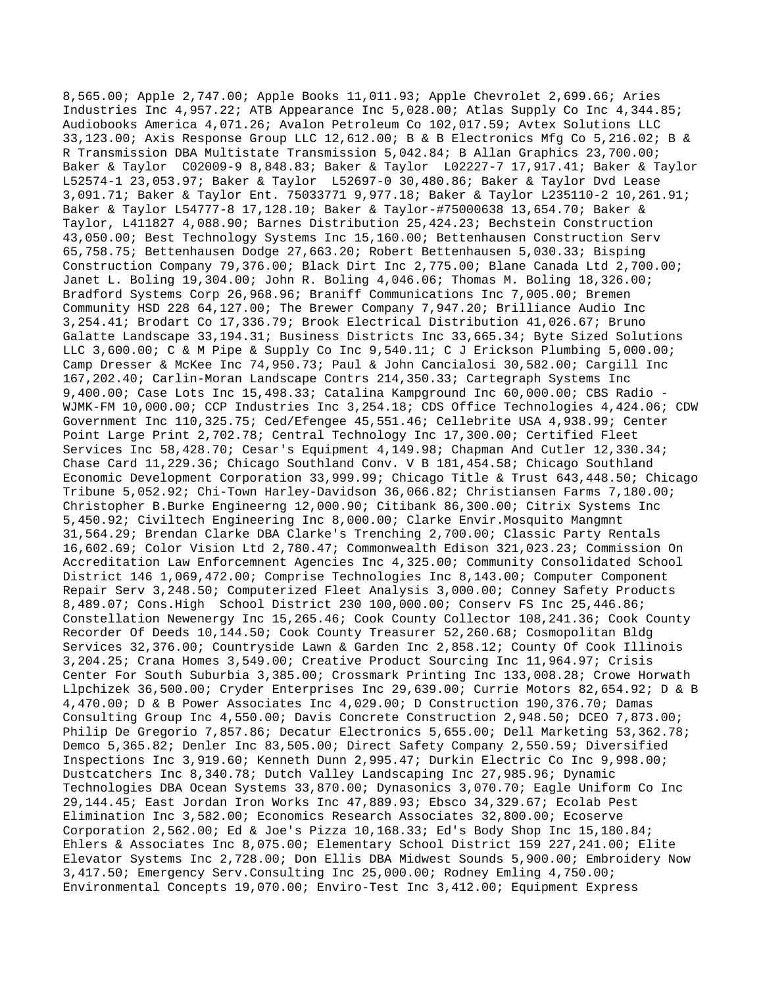8,565.00; Apple 2,747.00; Apple Books 11,011.93; Apple Chevrolet 2,699.66; Aries Industries Inc 4,957.22; ATB Appearance Inc 5,028.00; Atlas Supply Co Inc 4,344.85; Audiobooks America 4,071.26; Avalon Petroleum Co 102,017.59; Avtex Solutions LLC 33,123.00; Axis Response Group LLC 12,612.00; B & B Electronics Mfg Co 5,216.02; B & R Transmission DBA Multistate Transmission 5,042.84; B Allan Graphics 23,700.00; Baker & Taylor C02009-9 8,848.83; Baker & Taylor L02227-7 17,917.41; Baker & Taylor L52574-1 23,053.97; Baker & Taylor L52697-0 30,480.86; Baker & Taylor Dvd Lease 3,091.71; Baker & Taylor Ent. 75033771 9,977.18; Baker & Taylor L235110-2 10,261.91; Baker & Taylor L54777-8 17,128.10; Baker & Taylor-#75000638 13,654.70; Baker & Taylor, L411827 4,088.90; Barnes Distribution 25,424.23; Bechstein Construction 43,050.00; Best Technology Systems Inc 15,160.00; Bettenhausen Construction Serv 65,758.75; Bettenhausen Dodge 27,663.20; Robert Bettenhausen 5,030.33; Bisping Construction Company 79,376.00; Black Dirt Inc 2,775.00; Blane Canada Ltd 2,700.00; Janet L. Boling 19,304.00; John R. Boling 4,046.06; Thomas M. Boling 18,326.00; Bradford Systems Corp 26,968.96; Braniff Communications Inc 7,005.00; Bremen Community HSD 228 64,127.00; The Brewer Company 7,947.20; Brilliance Audio Inc 3,254.41; Brodart Co 17,336.79; Brook Electrical Distribution 41,026.67; Bruno Galatte Landscape 33,194.31; Business Districts Inc 33,665.34; Byte Sized Solutions LLC 3,600.00; C & M Pipe & Supply Co Inc 9,540.11; C J Erickson Plumbing 5,000.00; Camp Dresser & McKee Inc 74,950.73; Paul & John Cancialosi 30,582.00; Cargill Inc 167,202.40; Carlin-Moran Landscape Contrs 214,350.33; Cartegraph Systems Inc 9,400.00; Case Lots Inc 15,498.33; Catalina Kampground Inc 60,000.00; CBS Radio - WJMK-FM 10,000.00; CCP Industries Inc 3,254.18; CDS Office Technologies 4,424.06; CDW Government Inc 110,325.75; Ced/Efengee 45,551.46; Cellebrite USA 4,938.99; Center Point Large Print 2,702.78; Central Technology Inc 17,300.00; Certified Fleet Services Inc 58,428.70; Cesar's Equipment 4,149.98; Chapman And Cutler 12,330.34; Chase Card 11,229.36; Chicago Southland Conv. V B 181,454.58; Chicago Southland Economic Development Corporation 33,999.99; Chicago Title & Trust 643,448.50; Chicago Tribune 5,052.92; Chi-Town Harley-Davidson 36,066.82; Christiansen Farms 7,180.00; Christopher B.Burke Engineerng 12,000.90; Citibank 86,300.00; Citrix Systems Inc 5,450.92; Civiltech Engineering Inc 8,000.00; Clarke Envir.Mosquito Mangmnt 31,564.29; Brendan Clarke DBA Clarke's Trenching 2,700.00; Classic Party Rentals 16,602.69; Color Vision Ltd 2,780.47; Commonwealth Edison 321,023.23; Commission On Accreditation Law Enforcemnent Agencies Inc 4,325.00; Community Consolidated School District 146 1,069,472.00; Comprise Technologies Inc 8,143.00; Computer Component Repair Serv 3,248.50; Computerized Fleet Analysis 3,000.00; Conney Safety Products 8,489.07; Cons.High School District 230 100,000.00; Conserv FS Inc 25,446.86; Constellation Newenergy Inc 15,265.46; Cook County Collector 108,241.36; Cook County Recorder Of Deeds 10,144.50; Cook County Treasurer 52,260.68; Cosmopolitan Bldg Services 32,376.00; Countryside Lawn & Garden Inc 2,858.12; County Of Cook Illinois 3,204.25; Crana Homes 3,549.00; Creative Product Sourcing Inc 11,964.97; Crisis Center For South Suburbia 3,385.00; Crossmark Printing Inc 133,008.28; Crowe Horwath Llpchizek 36,500.00; Cryder Enterprises Inc 29,639.00; Currie Motors 82,654.92; D & B 4,470.00; D & B Power Associates Inc 4,029.00; D Construction 190,376.70; Damas Consulting Group Inc 4,550.00; Davis Concrete Construction 2,948.50; DCEO 7,873.00; Philip De Gregorio 7,857.86; Decatur Electronics 5,655.00; Dell Marketing 53,362.78; Demco 5,365.82; Denler Inc 83,505.00; Direct Safety Company 2,550.59; Diversified Inspections Inc 3,919.60; Kenneth Dunn 2,995.47; Durkin Electric Co Inc 9,998.00; Dustcatchers Inc 8,340.78; Dutch Valley Landscaping Inc 27,985.96; Dynamic Technologies DBA Ocean Systems 33,870.00; Dynasonics 3,070.70; Eagle Uniform Co Inc 29,144.45; East Jordan Iron Works Inc 47,889.93; Ebsco 34,329.67; Ecolab Pest Elimination Inc 3,582.00; Economics Research Associates 32,800.00; Ecoserve Corporation 2,562.00; Ed & Joe's Pizza 10,168.33; Ed's Body Shop Inc 15,180.84; Ehlers & Associates Inc 8,075.00; Elementary School District 159 227,241.00; Elite Elevator Systems Inc 2,728.00; Don Ellis DBA Midwest Sounds 5,900.00; Embroidery Now 3,417.50; Emergency Serv.Consulting Inc 25,000.00; Rodney Emling 4,750.00; Environmental Concepts 19,070.00; Enviro-Test Inc 3,412.00; Equipment Express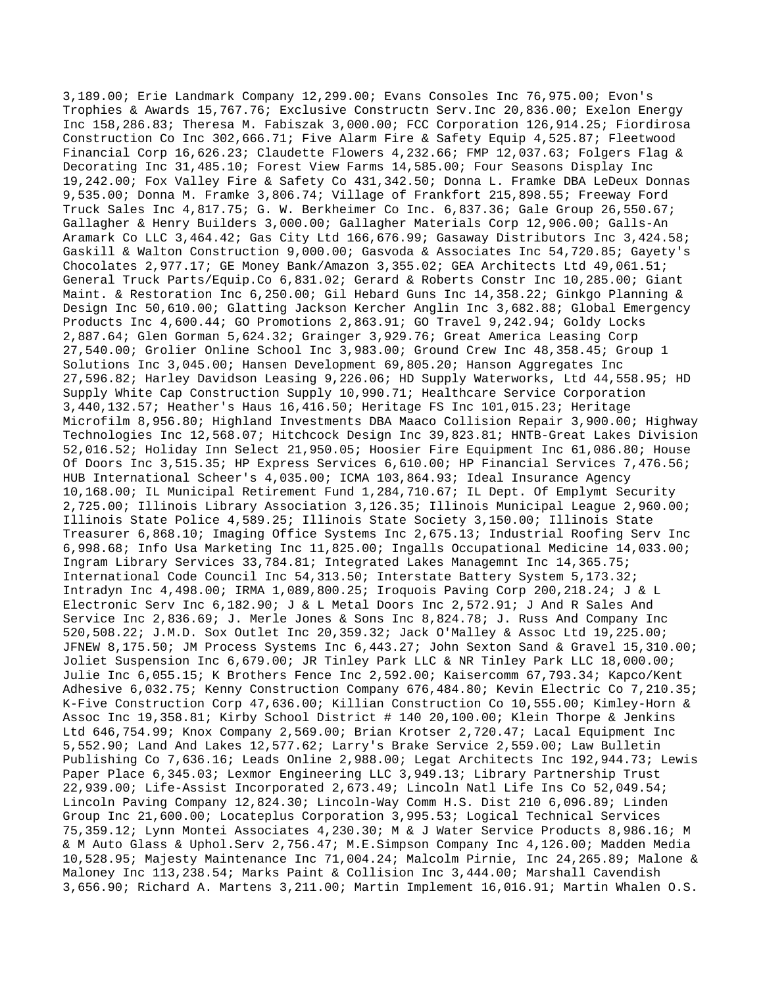3,189.00; Erie Landmark Company 12,299.00; Evans Consoles Inc 76,975.00; Evon's Trophies & Awards 15,767.76; Exclusive Constructn Serv.Inc 20,836.00; Exelon Energy Inc 158,286.83; Theresa M. Fabiszak 3,000.00; FCC Corporation 126,914.25; Fiordirosa Construction Co Inc 302,666.71; Five Alarm Fire & Safety Equip 4,525.87; Fleetwood Financial Corp 16,626.23; Claudette Flowers 4,232.66; FMP 12,037.63; Folgers Flag & Decorating Inc 31,485.10; Forest View Farms 14,585.00; Four Seasons Display Inc 19,242.00; Fox Valley Fire & Safety Co 431,342.50; Donna L. Framke DBA LeDeux Donnas 9,535.00; Donna M. Framke 3,806.74; Village of Frankfort 215,898.55; Freeway Ford Truck Sales Inc 4,817.75; G. W. Berkheimer Co Inc. 6,837.36; Gale Group 26,550.67; Gallagher & Henry Builders 3,000.00; Gallagher Materials Corp 12,906.00; Galls-An Aramark Co LLC 3,464.42; Gas City Ltd 166,676.99; Gasaway Distributors Inc 3,424.58; Gaskill & Walton Construction 9,000.00; Gasvoda & Associates Inc 54,720.85; Gayety's Chocolates 2,977.17; GE Money Bank/Amazon 3,355.02; GEA Architects Ltd 49,061.51; General Truck Parts/Equip.Co 6,831.02; Gerard & Roberts Constr Inc 10,285.00; Giant Maint. & Restoration Inc 6,250.00; Gil Hebard Guns Inc 14,358.22; Ginkgo Planning & Design Inc 50,610.00; Glatting Jackson Kercher Anglin Inc 3,682.88; Global Emergency Products Inc 4,600.44; GO Promotions 2,863.91; GO Travel 9,242.94; Goldy Locks 2,887.64; Glen Gorman 5,624.32; Grainger 3,929.76; Great America Leasing Corp 27,540.00; Grolier Online School Inc 3,983.00; Ground Crew Inc 48,358.45; Group 1 Solutions Inc 3,045.00; Hansen Development 69,805.20; Hanson Aggregates Inc 27,596.82; Harley Davidson Leasing 9,226.06; HD Supply Waterworks, Ltd 44,558.95; HD Supply White Cap Construction Supply 10,990.71; Healthcare Service Corporation 3,440,132.57; Heather's Haus 16,416.50; Heritage FS Inc 101,015.23; Heritage Microfilm 8,956.80; Highland Investments DBA Maaco Collision Repair 3,900.00; Highway Technologies Inc 12,568.07; Hitchcock Design Inc 39,823.81; HNTB-Great Lakes Division 52,016.52; Holiday Inn Select 21,950.05; Hoosier Fire Equipment Inc 61,086.80; House Of Doors Inc 3,515.35; HP Express Services 6,610.00; HP Financial Services 7,476.56; HUB International Scheer's 4,035.00; ICMA 103,864.93; Ideal Insurance Agency 10,168.00; IL Municipal Retirement Fund 1,284,710.67; IL Dept. Of Emplymt Security 2,725.00; Illinois Library Association 3,126.35; Illinois Municipal League 2,960.00; Illinois State Police 4,589.25; Illinois State Society 3,150.00; Illinois State Treasurer 6,868.10; Imaging Office Systems Inc 2,675.13; Industrial Roofing Serv Inc 6,998.68; Info Usa Marketing Inc 11,825.00; Ingalls Occupational Medicine 14,033.00; Ingram Library Services 33,784.81; Integrated Lakes Managemnt Inc 14,365.75; International Code Council Inc 54,313.50; Interstate Battery System 5,173.32; Intradyn Inc 4,498.00; IRMA 1,089,800.25; Iroquois Paving Corp 200,218.24; J & L Electronic Serv Inc 6,182.90; J & L Metal Doors Inc 2,572.91; J And R Sales And Service Inc 2,836.69; J. Merle Jones & Sons Inc 8,824.78; J. Russ And Company Inc 520,508.22; J.M.D. Sox Outlet Inc 20,359.32; Jack O'Malley & Assoc Ltd 19,225.00; JFNEW 8,175.50; JM Process Systems Inc 6,443.27; John Sexton Sand & Gravel 15,310.00; Joliet Suspension Inc 6,679.00; JR Tinley Park LLC & NR Tinley Park LLC 18,000.00; Julie Inc 6,055.15; K Brothers Fence Inc 2,592.00; Kaisercomm 67,793.34; Kapco/Kent Adhesive 6,032.75; Kenny Construction Company 676,484.80; Kevin Electric Co 7,210.35; K-Five Construction Corp 47,636.00; Killian Construction Co 10,555.00; Kimley-Horn & Assoc Inc 19,358.81; Kirby School District # 140 20,100.00; Klein Thorpe & Jenkins Ltd 646,754.99; Knox Company 2,569.00; Brian Krotser 2,720.47; Lacal Equipment Inc 5,552.90; Land And Lakes 12,577.62; Larry's Brake Service 2,559.00; Law Bulletin Publishing Co 7,636.16; Leads Online 2,988.00; Legat Architects Inc 192,944.73; Lewis Paper Place 6,345.03; Lexmor Engineering LLC 3,949.13; Library Partnership Trust 22,939.00; Life-Assist Incorporated 2,673.49; Lincoln Natl Life Ins Co 52,049.54; Lincoln Paving Company 12,824.30; Lincoln-Way Comm H.S. Dist 210 6,096.89; Linden Group Inc 21,600.00; Locateplus Corporation 3,995.53; Logical Technical Services 75,359.12; Lynn Montei Associates 4,230.30; M & J Water Service Products 8,986.16; M & M Auto Glass & Uphol.Serv 2,756.47; M.E.Simpson Company Inc 4,126.00; Madden Media 10,528.95; Majesty Maintenance Inc 71,004.24; Malcolm Pirnie, Inc 24,265.89; Malone & Maloney Inc 113,238.54; Marks Paint & Collision Inc 3,444.00; Marshall Cavendish 3,656.90; Richard A. Martens 3,211.00; Martin Implement 16,016.91; Martin Whalen O.S.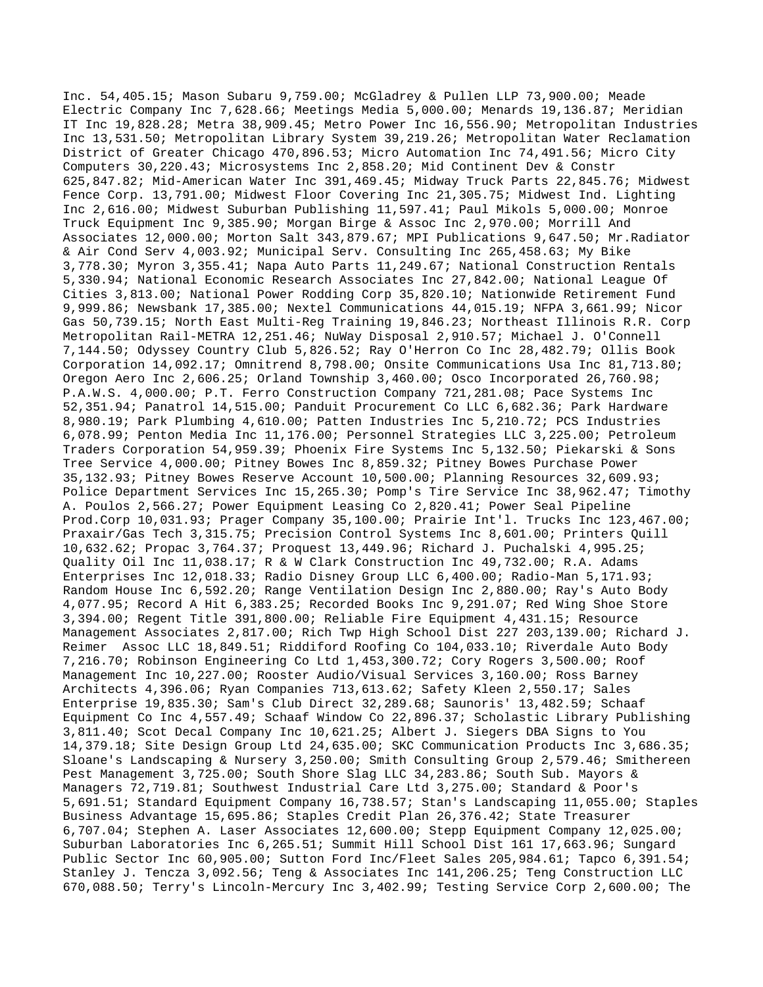Inc. 54,405.15; Mason Subaru 9,759.00; McGladrey & Pullen LLP 73,900.00; Meade Electric Company Inc 7,628.66; Meetings Media 5,000.00; Menards 19,136.87; Meridian IT Inc 19,828.28; Metra 38,909.45; Metro Power Inc 16,556.90; Metropolitan Industries Inc 13,531.50; Metropolitan Library System 39,219.26; Metropolitan Water Reclamation District of Greater Chicago 470,896.53; Micro Automation Inc 74,491.56; Micro City Computers 30,220.43; Microsystems Inc 2,858.20; Mid Continent Dev & Constr 625,847.82; Mid-American Water Inc 391,469.45; Midway Truck Parts 22,845.76; Midwest Fence Corp. 13,791.00; Midwest Floor Covering Inc 21,305.75; Midwest Ind. Lighting Inc 2,616.00; Midwest Suburban Publishing 11,597.41; Paul Mikols 5,000.00; Monroe Truck Equipment Inc 9,385.90; Morgan Birge & Assoc Inc 2,970.00; Morrill And Associates 12,000.00; Morton Salt 343,879.67; MPI Publications 9,647.50; Mr.Radiator & Air Cond Serv 4,003.92; Municipal Serv. Consulting Inc 265,458.63; My Bike 3,778.30; Myron 3,355.41; Napa Auto Parts 11,249.67; National Construction Rentals 5,330.94; National Economic Research Associates Inc 27,842.00; National League Of Cities 3,813.00; National Power Rodding Corp 35,820.10; Nationwide Retirement Fund 9,999.86; Newsbank 17,385.00; Nextel Communications 44,015.19; NFPA 3,661.99; Nicor Gas 50,739.15; North East Multi-Reg Training 19,846.23; Northeast Illinois R.R. Corp Metropolitan Rail-METRA 12,251.46; NuWay Disposal 2,910.57; Michael J. O'Connell 7,144.50; Odyssey Country Club 5,826.52; Ray O'Herron Co Inc 28,482.79; Ollis Book Corporation 14,092.17; Omnitrend 8,798.00; Onsite Communications Usa Inc 81,713.80; Oregon Aero Inc 2,606.25; Orland Township 3,460.00; Osco Incorporated 26,760.98; P.A.W.S. 4,000.00; P.T. Ferro Construction Company 721,281.08; Pace Systems Inc 52,351.94; Panatrol 14,515.00; Panduit Procurement Co LLC 6,682.36; Park Hardware 8,980.19; Park Plumbing 4,610.00; Patten Industries Inc 5,210.72; PCS Industries 6,078.99; Penton Media Inc 11,176.00; Personnel Strategies LLC 3,225.00; Petroleum Traders Corporation 54,959.39; Phoenix Fire Systems Inc 5,132.50; Piekarski & Sons Tree Service 4,000.00; Pitney Bowes Inc 8,859.32; Pitney Bowes Purchase Power 35,132.93; Pitney Bowes Reserve Account 10,500.00; Planning Resources 32,609.93; Police Department Services Inc 15,265.30; Pomp's Tire Service Inc 38,962.47; Timothy A. Poulos 2,566.27; Power Equipment Leasing Co 2,820.41; Power Seal Pipeline Prod.Corp 10,031.93; Prager Company 35,100.00; Prairie Int'l. Trucks Inc 123,467.00; Praxair/Gas Tech 3,315.75; Precision Control Systems Inc 8,601.00; Printers Quill 10,632.62; Propac 3,764.37; Proquest 13,449.96; Richard J. Puchalski 4,995.25; Quality Oil Inc 11,038.17; R & W Clark Construction Inc 49,732.00; R.A. Adams Enterprises Inc 12,018.33; Radio Disney Group LLC 6,400.00; Radio-Man 5,171.93; Random House Inc 6,592.20; Range Ventilation Design Inc 2,880.00; Ray's Auto Body 4,077.95; Record A Hit 6,383.25; Recorded Books Inc 9,291.07; Red Wing Shoe Store 3,394.00; Regent Title 391,800.00; Reliable Fire Equipment 4,431.15; Resource Management Associates 2,817.00; Rich Twp High School Dist 227 203,139.00; Richard J. Reimer Assoc LLC 18,849.51; Riddiford Roofing Co 104,033.10; Riverdale Auto Body 7,216.70; Robinson Engineering Co Ltd 1,453,300.72; Cory Rogers 3,500.00; Roof Management Inc 10,227.00; Rooster Audio/Visual Services 3,160.00; Ross Barney Architects 4,396.06; Ryan Companies 713,613.62; Safety Kleen 2,550.17; Sales Enterprise 19,835.30; Sam's Club Direct 32,289.68; Saunoris' 13,482.59; Schaaf Equipment Co Inc 4,557.49; Schaaf Window Co 22,896.37; Scholastic Library Publishing 3,811.40; Scot Decal Company Inc 10,621.25; Albert J. Siegers DBA Signs to You 14,379.18; Site Design Group Ltd 24,635.00; SKC Communication Products Inc 3,686.35; Sloane's Landscaping & Nursery 3,250.00; Smith Consulting Group 2,579.46; Smithereen Pest Management 3,725.00; South Shore Slag LLC 34,283.86; South Sub. Mayors & Managers 72,719.81; Southwest Industrial Care Ltd 3,275.00; Standard & Poor's 5,691.51; Standard Equipment Company 16,738.57; Stan's Landscaping 11,055.00; Staples Business Advantage 15,695.86; Staples Credit Plan 26,376.42; State Treasurer 6,707.04; Stephen A. Laser Associates 12,600.00; Stepp Equipment Company 12,025.00; Suburban Laboratories Inc 6,265.51; Summit Hill School Dist 161 17,663.96; Sungard Public Sector Inc 60,905.00; Sutton Ford Inc/Fleet Sales 205,984.61; Tapco 6,391.54; Stanley J. Tencza 3,092.56; Teng & Associates Inc 141,206.25; Teng Construction LLC 670,088.50; Terry's Lincoln-Mercury Inc 3,402.99; Testing Service Corp 2,600.00; The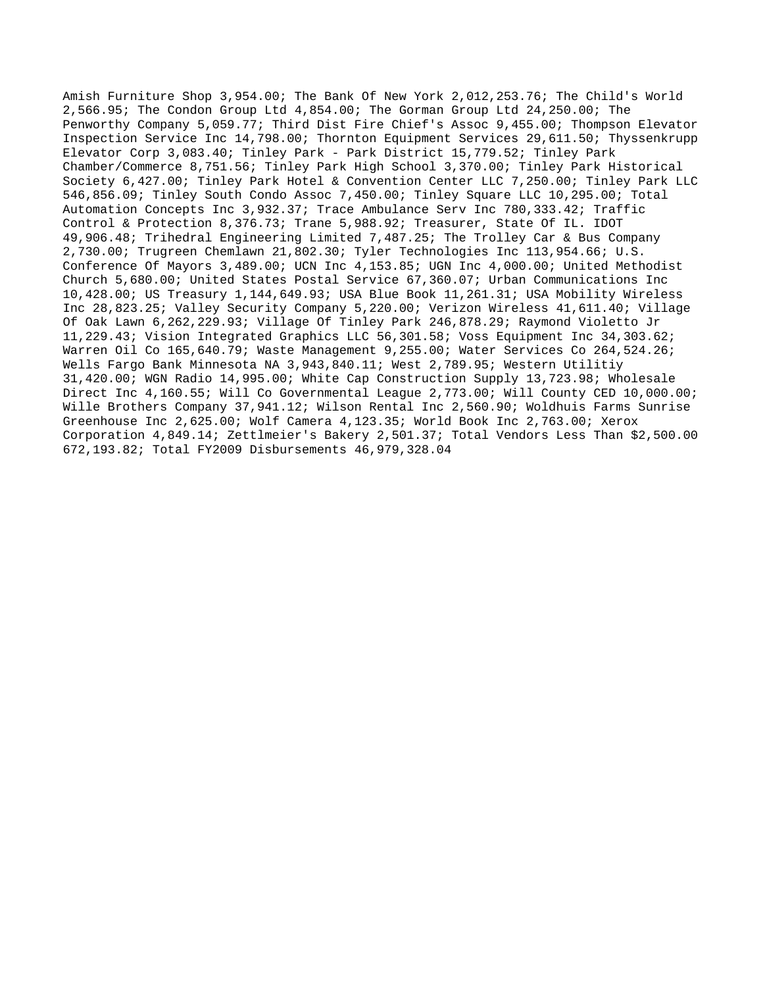Amish Furniture Shop 3,954.00; The Bank Of New York 2,012,253.76; The Child's World 2,566.95; The Condon Group Ltd 4,854.00; The Gorman Group Ltd 24,250.00; The Penworthy Company 5,059.77; Third Dist Fire Chief's Assoc 9,455.00; Thompson Elevator Inspection Service Inc 14,798.00; Thornton Equipment Services 29,611.50; Thyssenkrupp Elevator Corp 3,083.40; Tinley Park - Park District 15,779.52; Tinley Park Chamber/Commerce 8,751.56; Tinley Park High School 3,370.00; Tinley Park Historical Society 6,427.00; Tinley Park Hotel & Convention Center LLC 7,250.00; Tinley Park LLC 546,856.09; Tinley South Condo Assoc 7,450.00; Tinley Square LLC 10,295.00; Total Automation Concepts Inc 3,932.37; Trace Ambulance Serv Inc 780,333.42; Traffic Control & Protection 8,376.73; Trane 5,988.92; Treasurer, State Of IL. IDOT 49,906.48; Trihedral Engineering Limited 7,487.25; The Trolley Car & Bus Company 2,730.00; Trugreen Chemlawn 21,802.30; Tyler Technologies Inc 113,954.66; U.S. Conference Of Mayors 3,489.00; UCN Inc 4,153.85; UGN Inc 4,000.00; United Methodist Church 5,680.00; United States Postal Service 67,360.07; Urban Communications Inc 10,428.00; US Treasury 1,144,649.93; USA Blue Book 11,261.31; USA Mobility Wireless Inc 28,823.25; Valley Security Company 5,220.00; Verizon Wireless 41,611.40; Village Of Oak Lawn 6,262,229.93; Village Of Tinley Park 246,878.29; Raymond Violetto Jr 11,229.43; Vision Integrated Graphics LLC 56,301.58; Voss Equipment Inc 34,303.62; Warren Oil Co 165,640.79; Waste Management 9,255.00; Water Services Co 264,524.26; Wells Fargo Bank Minnesota NA 3,943,840.11; West 2,789.95; Western Utilitiy 31,420.00; WGN Radio 14,995.00; White Cap Construction Supply 13,723.98; Wholesale Direct Inc 4,160.55; Will Co Governmental League 2,773.00; Will County CED 10,000.00; Wille Brothers Company 37,941.12; Wilson Rental Inc 2,560.90; Woldhuis Farms Sunrise Greenhouse Inc 2,625.00; Wolf Camera 4,123.35; World Book Inc 2,763.00; Xerox Corporation 4,849.14; Zettlmeier's Bakery 2,501.37; Total Vendors Less Than \$2,500.00 672,193.82; Total FY2009 Disbursements 46,979,328.04